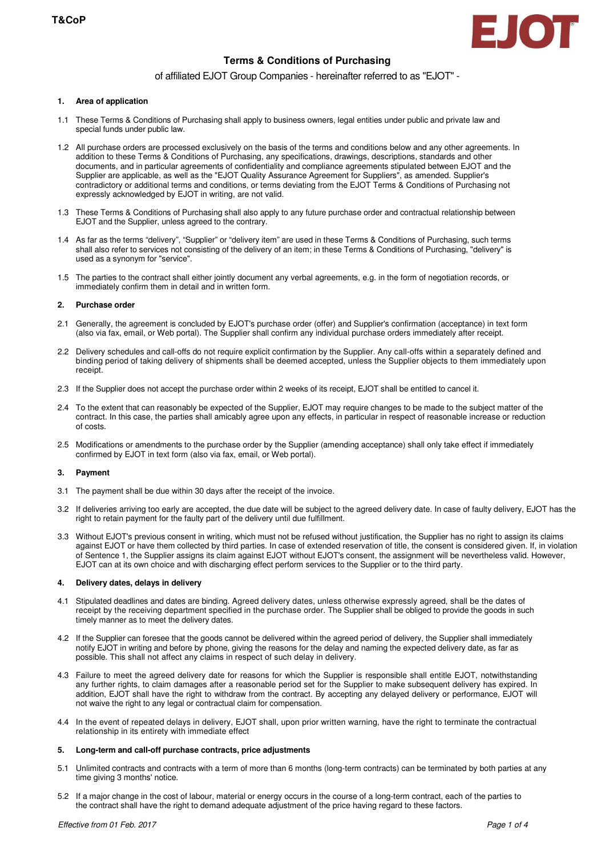

# **Terms & Conditions of Purchasing**

## of affiliated EJOT Group Companies - hereinafter referred to as "EJOT" -

### **1. Area of application**

- 1.1 These Terms & Conditions of Purchasing shall apply to business owners, legal entities under public and private law and special funds under public law.
- 1.2 All purchase orders are processed exclusively on the basis of the terms and conditions below and any other agreements. In addition to these Terms & Conditions of Purchasing, any specifications, drawings, descriptions, standards and other documents, and in particular agreements of confidentiality and compliance agreements stipulated between EJOT and the Supplier are applicable, as well as the "EJOT Quality Assurance Agreement for Suppliers", as amended. Supplier's contradictory or additional terms and conditions, or terms deviating from the EJOT Terms & Conditions of Purchasing not expressly acknowledged by EJOT in writing, are not valid.
- 1.3 These Terms & Conditions of Purchasing shall also apply to any future purchase order and contractual relationship between EJOT and the Supplier, unless agreed to the contrary.
- 1.4 As far as the terms "delivery", "Supplier" or "delivery item" are used in these Terms & Conditions of Purchasing, such terms shall also refer to services not consisting of the delivery of an item; in these Terms & Conditions of Purchasing, "delivery" is used as a synonym for "service".
- 1.5 The parties to the contract shall either jointly document any verbal agreements, e.g. in the form of negotiation records, or immediately confirm them in detail and in written form.

## **2. Purchase order**

- 2.1 Generally, the agreement is concluded by EJOT's purchase order (offer) and Supplier's confirmation (acceptance) in text form (also via fax, email, or Web portal). The Supplier shall confirm any individual purchase orders immediately after receipt.
- 2.2 Delivery schedules and call-offs do not require explicit confirmation by the Supplier. Any call-offs within a separately defined and binding period of taking delivery of shipments shall be deemed accepted, unless the Supplier objects to them immediately upon receipt.
- 2.3 If the Supplier does not accept the purchase order within 2 weeks of its receipt, EJOT shall be entitled to cancel it.
- 2.4 To the extent that can reasonably be expected of the Supplier, EJOT may require changes to be made to the subject matter of the contract. In this case, the parties shall amicably agree upon any effects, in particular in respect of reasonable increase or reduction of costs.
- 2.5 Modifications or amendments to the purchase order by the Supplier (amending acceptance) shall only take effect if immediately confirmed by EJOT in text form (also via fax, email, or Web portal).

## **3. Payment**

- 3.1 The payment shall be due within 30 days after the receipt of the invoice.
- 3.2 If deliveries arriving too early are accepted, the due date will be subject to the agreed delivery date. In case of faulty delivery, EJOT has the right to retain payment for the faulty part of the delivery until due fulfillment.
- 3.3 Without EJOT's previous consent in writing, which must not be refused without justification, the Supplier has no right to assign its claims against EJOT or have them collected by third parties. In case of extended reservation of title, the consent is considered given. If, in violation of Sentence 1, the Supplier assigns its claim against EJOT without EJOT's consent, the assignment will be nevertheless valid. However, EJOT can at its own choice and with discharging effect perform services to the Supplier or to the third party.

## **4. Delivery dates, delays in delivery**

- 4.1 Stipulated deadlines and dates are binding. Agreed delivery dates, unless otherwise expressly agreed, shall be the dates of receipt by the receiving department specified in the purchase order. The Supplier shall be obliged to provide the goods in such timely manner as to meet the delivery dates.
- 4.2 If the Supplier can foresee that the goods cannot be delivered within the agreed period of delivery, the Supplier shall immediately notify EJOT in writing and before by phone, giving the reasons for the delay and naming the expected delivery date, as far as possible. This shall not affect any claims in respect of such delay in delivery.
- 4.3 Failure to meet the agreed delivery date for reasons for which the Supplier is responsible shall entitle EJOT, notwithstanding any further rights, to claim damages after a reasonable period set for the Supplier to make subsequent delivery has expired. In addition, EJOT shall have the right to withdraw from the contract. By accepting any delayed delivery or performance, EJOT will not waive the right to any legal or contractual claim for compensation.
- 4.4 In the event of repeated delays in delivery, EJOT shall, upon prior written warning, have the right to terminate the contractual relationship in its entirety with immediate effect

#### **5. Long-term and call-off purchase contracts, price adjustments**

- 5.1 Unlimited contracts and contracts with a term of more than 6 months (long-term contracts) can be terminated by both parties at any time giving 3 months' notice.
- 5.2 If a major change in the cost of labour, material or energy occurs in the course of a long-term contract, each of the parties to the contract shall have the right to demand adequate adjustment of the price having regard to these factors.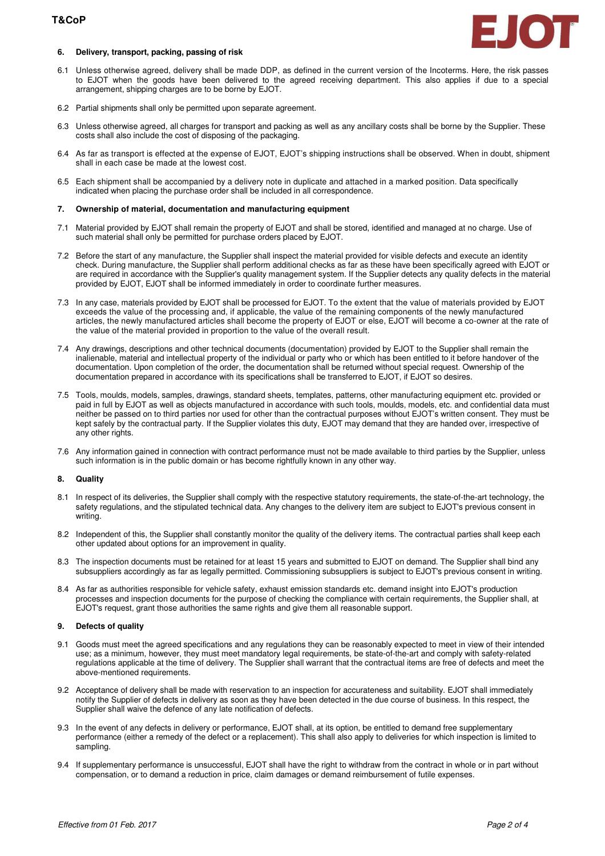## **T&CoP**



## **6. Delivery, transport, packing, passing of risk**

- 6.1 Unless otherwise agreed, delivery shall be made DDP, as defined in the current version of the Incoterms. Here, the risk passes to EJOT when the goods have been delivered to the agreed receiving department. This also applies if due to a special arrangement, shipping charges are to be borne by EJOT.
- 6.2 Partial shipments shall only be permitted upon separate agreement.
- 6.3 Unless otherwise agreed, all charges for transport and packing as well as any ancillary costs shall be borne by the Supplier. These costs shall also include the cost of disposing of the packaging.
- 6.4 As far as transport is effected at the expense of EJOT, EJOT's shipping instructions shall be observed. When in doubt, shipment shall in each case be made at the lowest cost.
- 6.5 Each shipment shall be accompanied by a delivery note in duplicate and attached in a marked position. Data specifically indicated when placing the purchase order shall be included in all correspondence.

#### **7. Ownership of material, documentation and manufacturing equipment**

- 7.1 Material provided by EJOT shall remain the property of EJOT and shall be stored, identified and managed at no charge. Use of such material shall only be permitted for purchase orders placed by EJOT.
- 7.2 Before the start of any manufacture, the Supplier shall inspect the material provided for visible defects and execute an identity check. During manufacture, the Supplier shall perform additional checks as far as these have been specifically agreed with EJOT or are required in accordance with the Supplier's quality management system. If the Supplier detects any quality defects in the material provided by EJOT, EJOT shall be informed immediately in order to coordinate further measures.
- 7.3 In any case, materials provided by EJOT shall be processed for EJOT. To the extent that the value of materials provided by EJOT exceeds the value of the processing and, if applicable, the value of the remaining components of the newly manufactured articles, the newly manufactured articles shall become the property of EJOT or else, EJOT will become a co-owner at the rate of the value of the material provided in proportion to the value of the overall result.
- 7.4 Any drawings, descriptions and other technical documents (documentation) provided by EJOT to the Supplier shall remain the inalienable, material and intellectual property of the individual or party who or which has been entitled to it before handover of the documentation. Upon completion of the order, the documentation shall be returned without special request. Ownership of the documentation prepared in accordance with its specifications shall be transferred to EJOT, if EJOT so desires.
- 7.5 Tools, moulds, models, samples, drawings, standard sheets, templates, patterns, other manufacturing equipment etc. provided or paid in full by EJOT as well as objects manufactured in accordance with such tools, moulds, models, etc. and confidential data must neither be passed on to third parties nor used for other than the contractual purposes without EJOT's written consent. They must be kept safely by the contractual party. If the Supplier violates this duty, EJOT may demand that they are handed over, irrespective of any other rights.
- 7.6 Any information gained in connection with contract performance must not be made available to third parties by the Supplier, unless such information is in the public domain or has become rightfully known in any other way.

#### **8. Quality**

- 8.1 In respect of its deliveries, the Supplier shall comply with the respective statutory requirements, the state-of-the-art technology, the safety regulations, and the stipulated technical data. Any changes to the delivery item are subject to EJOT's previous consent in writing.
- 8.2 Independent of this, the Supplier shall constantly monitor the quality of the delivery items. The contractual parties shall keep each other updated about options for an improvement in quality.
- 8.3 The inspection documents must be retained for at least 15 years and submitted to EJOT on demand. The Supplier shall bind any subsuppliers accordingly as far as legally permitted. Commissioning subsuppliers is subject to EJOT's previous consent in writing.
- 8.4 As far as authorities responsible for vehicle safety, exhaust emission standards etc. demand insight into EJOT's production processes and inspection documents for the purpose of checking the compliance with certain requirements, the Supplier shall, at EJOT's request, grant those authorities the same rights and give them all reasonable support.

#### **9. Defects of quality**

- 9.1 Goods must meet the agreed specifications and any regulations they can be reasonably expected to meet in view of their intended use; as a minimum, however, they must meet mandatory legal requirements, be state-of-the-art and comply with safety-related regulations applicable at the time of delivery. The Supplier shall warrant that the contractual items are free of defects and meet the above-mentioned requirements.
- 9.2 Acceptance of delivery shall be made with reservation to an inspection for accurateness and suitability. EJOT shall immediately notify the Supplier of defects in delivery as soon as they have been detected in the due course of business. In this respect, the Supplier shall waive the defence of any late notification of defects.
- 9.3 In the event of any defects in delivery or performance, EJOT shall, at its option, be entitled to demand free supplementary performance (either a remedy of the defect or a replacement). This shall also apply to deliveries for which inspection is limited to sampling.
- 9.4 If supplementary performance is unsuccessful, EJOT shall have the right to withdraw from the contract in whole or in part without compensation, or to demand a reduction in price, claim damages or demand reimbursement of futile expenses.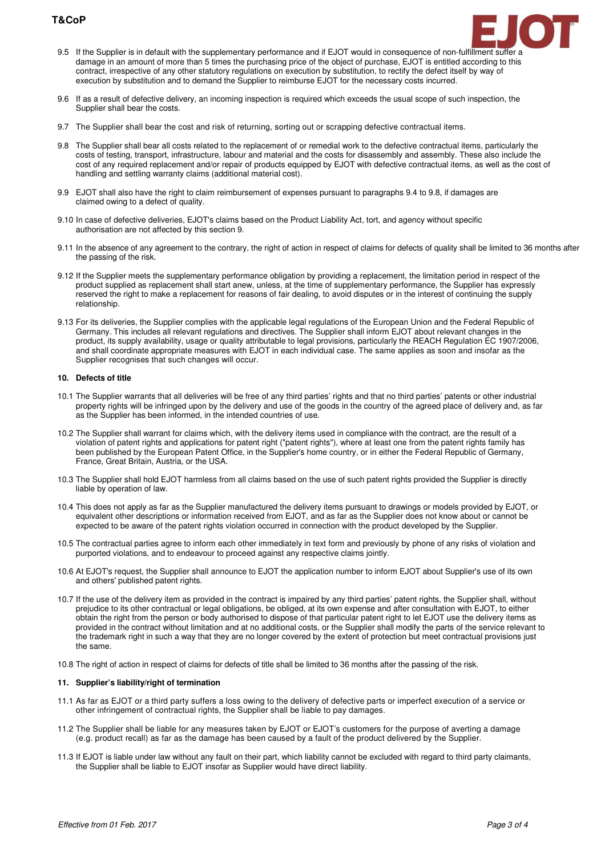# **T&CoP**



- 9.5 If the Supplier is in default with the supplementary performance and if EJOT would in consequence of non-fulfillment suffer a damage in an amount of more than 5 times the purchasing price of the object of purchase, EJOT is entitled according to this contract, irrespective of any other statutory regulations on execution by substitution, to rectify the defect itself by way of execution by substitution and to demand the Supplier to reimburse EJOT for the necessary costs incurred.
- 9.6 If as a result of defective delivery, an incoming inspection is required which exceeds the usual scope of such inspection, the Supplier shall bear the costs.
- 9.7 The Supplier shall bear the cost and risk of returning, sorting out or scrapping defective contractual items.
- 9.8 The Supplier shall bear all costs related to the replacement of or remedial work to the defective contractual items, particularly the costs of testing, transport, infrastructure, labour and material and the costs for disassembly and assembly. These also include the cost of any required replacement and/or repair of products equipped by EJOT with defective contractual items, as well as the cost of handling and settling warranty claims (additional material cost).
- 9.9 EJOT shall also have the right to claim reimbursement of expenses pursuant to paragraphs 9.4 to 9.8, if damages are claimed owing to a defect of quality.
- 9.10 In case of defective deliveries, EJOT's claims based on the Product Liability Act, tort, and agency without specific authorisation are not affected by this section 9.
- 9.11 In the absence of any agreement to the contrary, the right of action in respect of claims for defects of quality shall be limited to 36 months after the passing of the risk.
- 9.12 If the Supplier meets the supplementary performance obligation by providing a replacement, the limitation period in respect of the product supplied as replacement shall start anew, unless, at the time of supplementary performance, the Supplier has expressly reserved the right to make a replacement for reasons of fair dealing, to avoid disputes or in the interest of continuing the supply relationship.
- 9.13 For its deliveries, the Supplier complies with the applicable legal regulations of the European Union and the Federal Republic of Germany. This includes all relevant regulations and directives. The Supplier shall inform EJOT about relevant changes in the product, its supply availability, usage or quality attributable to legal provisions, particularly the REACH Regulation EC 1907/2006, and shall coordinate appropriate measures with EJOT in each individual case. The same applies as soon and insofar as the Supplier recognises that such changes will occur.

#### **10. Defects of title**

- 10.1 The Supplier warrants that all deliveries will be free of any third parties' rights and that no third parties' patents or other industrial property rights will be infringed upon by the delivery and use of the goods in the country of the agreed place of delivery and, as far as the Supplier has been informed, in the intended countries of use.
- 10.2 The Supplier shall warrant for claims which, with the delivery items used in compliance with the contract, are the result of a violation of patent rights and applications for patent right ("patent rights"), where at least one from the patent rights family has been published by the European Patent Office, in the Supplier's home country, or in either the Federal Republic of Germany, France, Great Britain, Austria, or the USA.
- 10.3 The Supplier shall hold EJOT harmless from all claims based on the use of such patent rights provided the Supplier is directly liable by operation of law.
- 10.4 This does not apply as far as the Supplier manufactured the delivery items pursuant to drawings or models provided by EJOT, or equivalent other descriptions or information received from EJOT, and as far as the Supplier does not know about or cannot be expected to be aware of the patent rights violation occurred in connection with the product developed by the Supplier.
- 10.5 The contractual parties agree to inform each other immediately in text form and previously by phone of any risks of violation and purported violations, and to endeavour to proceed against any respective claims jointly.
- 10.6 At EJOT's request, the Supplier shall announce to EJOT the application number to inform EJOT about Supplier's use of its own and others' published patent rights.
- 10.7 If the use of the delivery item as provided in the contract is impaired by any third parties' patent rights, the Supplier shall, without prejudice to its other contractual or legal obligations, be obliged, at its own expense and after consultation with EJOT, to either obtain the right from the person or body authorised to dispose of that particular patent right to let EJOT use the delivery items as provided in the contract without limitation and at no additional costs, or the Supplier shall modify the parts of the service relevant to the trademark right in such a way that they are no longer covered by the extent of protection but meet contractual provisions just the same.
- 10.8 The right of action in respect of claims for defects of title shall be limited to 36 months after the passing of the risk.

## **11. Supplier's liability/right of termination**

- 11.1 As far as EJOT or a third party suffers a loss owing to the delivery of defective parts or imperfect execution of a service or other infringement of contractual rights, the Supplier shall be liable to pay damages.
- 11.2 The Supplier shall be liable for any measures taken by EJOT or EJOT's customers for the purpose of averting a damage (e.g. product recall) as far as the damage has been caused by a fault of the product delivered by the Supplier.
- 11.3 If EJOT is liable under law without any fault on their part, which liability cannot be excluded with regard to third party claimants, the Supplier shall be liable to EJOT insofar as Supplier would have direct liability.